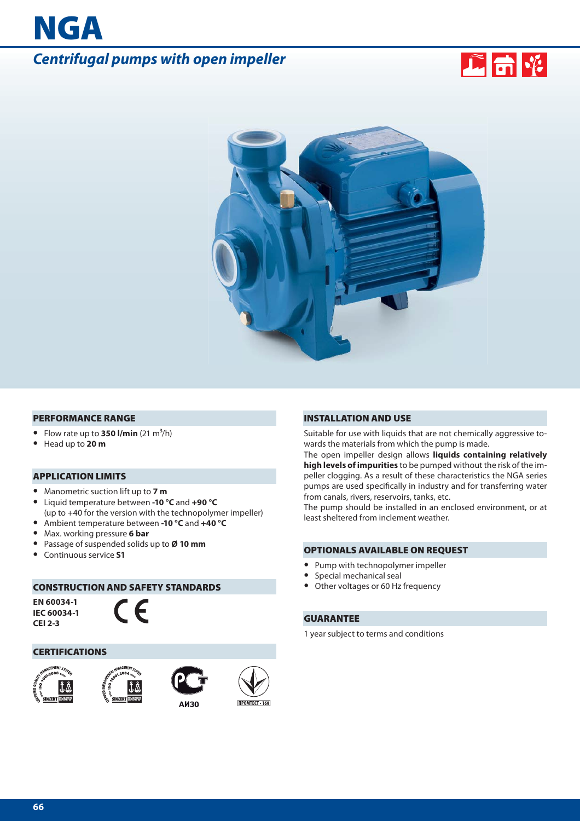# *Centrifugal pumps with open impeller*





#### **PERFORMANCE RANGE**

- Flow rate up to **350 l/min**  $(21 \text{ m}^3/\text{h})$
- **•** Head up to **20 m**

**NGA**

## **APPLICATION LIMITS**

- **•** Manometric suction lift up to **7 m**
- **•** Liquid temperature between **-10 °C** and **+90 °C** (up to +40 for the version with the technopolymer impeller)
- **•** Ambient temperature between **-10 °C** and **+40 °C**
- **•** Max. working pressure **6 bar**
- **•** Passage of suspended solids up to **Ø 10 mm**
- **•** Continuous service **S1**

#### **CONSTRUCTION AND SAFETY STANDARDS**

**EN 60034-1 IEC 60034-1 CEI 2-3**



#### **CERTIFICATIONS**









#### **INSTALLATION AND USE**

Suitable for use with liquids that are not chemically aggressive towards the materials from which the pump is made.

The open impeller design allows **liquids containing relatively high levels of impurities** to be pumped without the risk of the impeller clogging. As a result of these characteristics the NGA series pumps are used specifically in industry and for transferring water from canals, rivers, reservoirs, tanks, etc.

The pump should be installed in an enclosed environment, or at least sheltered from inclement weather.

#### **OPTIONALS AVAILABLE ON REQUEST**

- **•** Pump with technopolymer impeller
- **•** Special mechanical seal
- **•** Other voltages or 60 Hz frequency

#### **GUARANTEE**

1 year subject to terms and conditions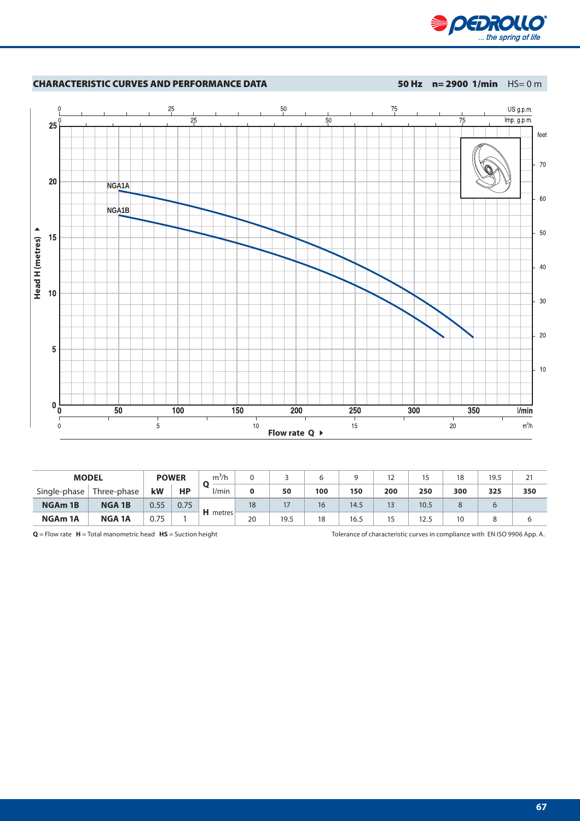



| <b>MODEL</b>        |               | <b>POWER</b> |      | $m^3/h$  |    |      |     |      | 12  | 15   | 18  | 19.5 | 21  |
|---------------------|---------------|--------------|------|----------|----|------|-----|------|-----|------|-----|------|-----|
| Single-phase        | Three-phase   | kW           | HP   | /min     | 0  | 50   | 100 | 150  | 200 | 250  | 300 | 325  | 350 |
| NGA <sub>m</sub> 1B | <b>NGA 1B</b> | 0.55         | 0.75 | H metres | 18 | 17   | 16  | 14.5 | 13  | 10.5 |     | 6    |     |
| NGA <sub>m</sub> 1A | <b>NGA 1A</b> | 0.75         |      |          | 20 | 19.5 | 18  | 16.5 | 15  | 12.5 | 10  |      |     |

**Q** = Flow rate **H** = Total manometric head **HS** = Suction height Tolerance of characteristic curves in compliance with EN ISO 9906 App. A.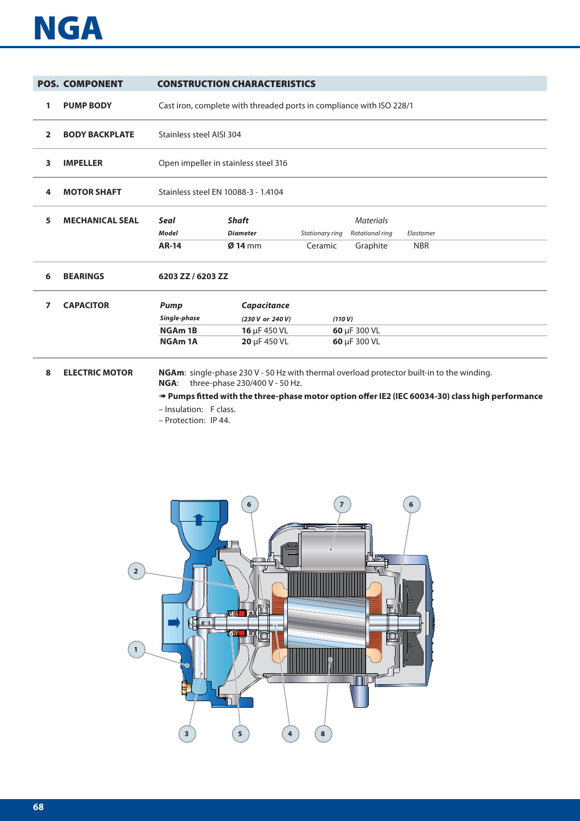# **NGA**

|                | <b>POS. COMPONENT</b>  |                                                                     | <b>CONSTRUCTION CHARACTERISTICS</b>                                                                                         |                            |                                                 |                         |  |  |  |  |  |
|----------------|------------------------|---------------------------------------------------------------------|-----------------------------------------------------------------------------------------------------------------------------|----------------------------|-------------------------------------------------|-------------------------|--|--|--|--|--|
| 1              | <b>PUMP BODY</b>       |                                                                     | Cast iron, complete with threaded ports in compliance with ISO 228/1                                                        |                            |                                                 |                         |  |  |  |  |  |
| $\overline{2}$ | <b>BODY BACKPLATE</b>  |                                                                     | Stainless steel AISI 304                                                                                                    |                            |                                                 |                         |  |  |  |  |  |
| 3              | <b>IMPELLER</b>        |                                                                     | Open impeller in stainless steel 316                                                                                        |                            |                                                 |                         |  |  |  |  |  |
| 4              | <b>MOTOR SHAFT</b>     |                                                                     | Stainless steel EN 10088-3 - 1.4104                                                                                         |                            |                                                 |                         |  |  |  |  |  |
| 5              | <b>MECHANICAL SEAL</b> | <b>Seal</b><br><b>Model</b><br><b>AR-14</b>                         | <b>Shaft</b><br><b>Diameter</b><br>$Q$ 14 mm                                                                                | Stationary ring<br>Ceramic | <b>Materials</b><br>Rotational ring<br>Graphite | Elastomer<br><b>NBR</b> |  |  |  |  |  |
| 6              | <b>BEARINGS</b>        | 6203 ZZ / 6203 ZZ                                                   |                                                                                                                             |                            |                                                 |                         |  |  |  |  |  |
| 7              | <b>CAPACITOR</b>       | <b>Pump</b><br>Single-phase<br>NGA <sub>m</sub> 1B<br><b>NGAm1A</b> | Capacitance<br>(230 V or 240 V)<br>16 µF 450 VL<br>20 µF 450 VL                                                             | (110 V)                    | 60 µF 300 VL<br>60 µF 300 VL                    |                         |  |  |  |  |  |
| 8              | <b>ELECTRIC MOTOR</b>  | NGA:                                                                | NGAm: single-phase 230 V - 50 Hz with thermal overload protector built-in to the winding.<br>three-phase 230/400 V - 50 Hz. |                            |                                                 |                         |  |  |  |  |  |

**■ Pumps fitted with the three-phase motor option offer IE2 (IEC 60034-30) class high performance** 

- Insulation: F class.
- Protection: IP 44.